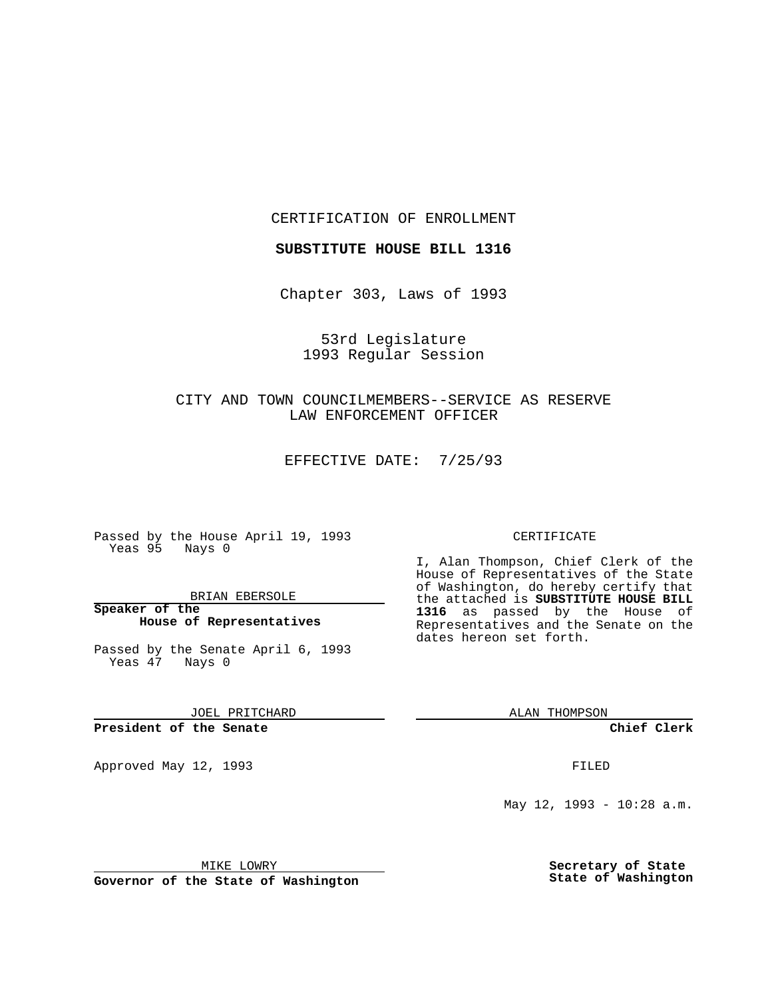CERTIFICATION OF ENROLLMENT

**SUBSTITUTE HOUSE BILL 1316**

Chapter 303, Laws of 1993

53rd Legislature 1993 Regular Session

CITY AND TOWN COUNCILMEMBERS--SERVICE AS RESERVE LAW ENFORCEMENT OFFICER

EFFECTIVE DATE: 7/25/93

Passed by the House April 19, 1993 Yeas 95 Nays 0

BRIAN EBERSOLE

**Speaker of the House of Representatives**

Passed by the Senate April 6, 1993 Yeas 47 Nays 0

JOEL PRITCHARD

# **President of the Senate**

Approved May 12, 1993 **FILED** 

#### CERTIFICATE

I, Alan Thompson, Chief Clerk of the House of Representatives of the State of Washington, do hereby certify that the attached is **SUBSTITUTE HOUSE BILL 1316** as passed by the House of Representatives and the Senate on the dates hereon set forth.

ALAN THOMPSON

**Chief Clerk**

May 12, 1993 - 10:28 a.m.

MIKE LOWRY

**Governor of the State of Washington**

**Secretary of State State of Washington**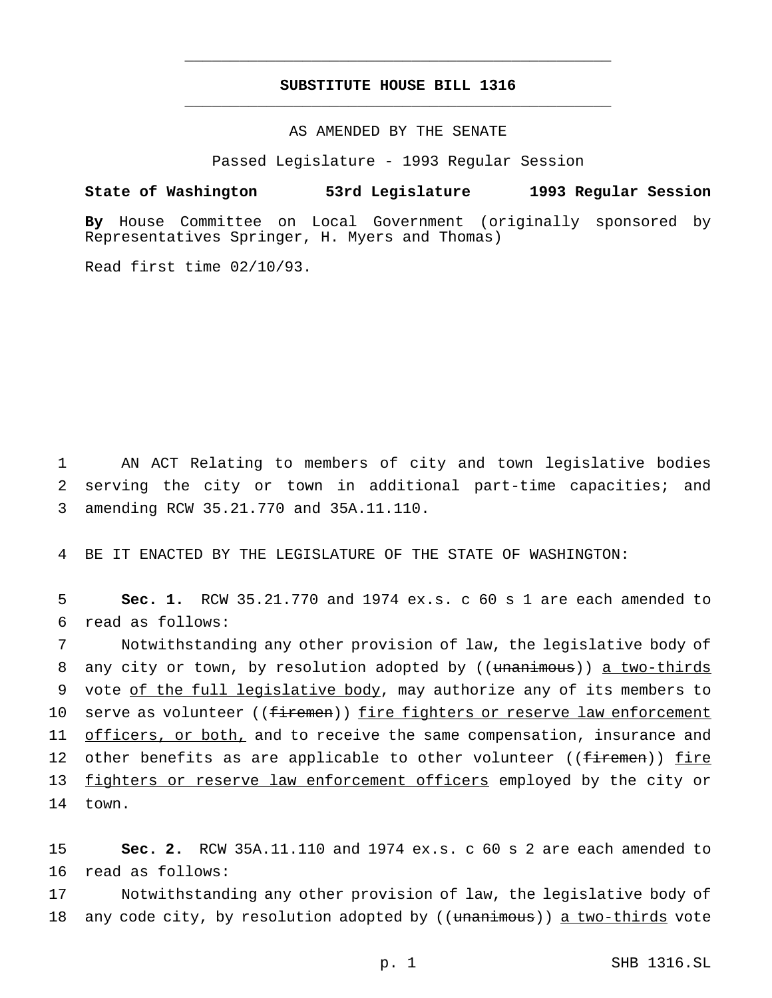# **SUBSTITUTE HOUSE BILL 1316** \_\_\_\_\_\_\_\_\_\_\_\_\_\_\_\_\_\_\_\_\_\_\_\_\_\_\_\_\_\_\_\_\_\_\_\_\_\_\_\_\_\_\_\_\_\_\_

\_\_\_\_\_\_\_\_\_\_\_\_\_\_\_\_\_\_\_\_\_\_\_\_\_\_\_\_\_\_\_\_\_\_\_\_\_\_\_\_\_\_\_\_\_\_\_

#### AS AMENDED BY THE SENATE

Passed Legislature - 1993 Regular Session

# **State of Washington 53rd Legislature 1993 Regular Session**

**By** House Committee on Local Government (originally sponsored by Representatives Springer, H. Myers and Thomas)

Read first time 02/10/93.

1 AN ACT Relating to members of city and town legislative bodies 2 serving the city or town in additional part-time capacities; and 3 amending RCW 35.21.770 and 35A.11.110.

4 BE IT ENACTED BY THE LEGISLATURE OF THE STATE OF WASHINGTON:

5 **Sec. 1.** RCW 35.21.770 and 1974 ex.s. c 60 s 1 are each amended to 6 read as follows:

7 Notwithstanding any other provision of law, the legislative body of 8 any city or town, by resolution adopted by ((unanimous)) a two-thirds 9 vote of the full legislative body, may authorize any of its members to 10 serve as volunteer ((firemen)) fire fighters or reserve law enforcement 11 officers, or both, and to receive the same compensation, insurance and 12 other benefits as are applicable to other volunteer ((firemen)) fire 13 fighters or reserve law enforcement officers employed by the city or 14 town.

15 **Sec. 2.** RCW 35A.11.110 and 1974 ex.s. c 60 s 2 are each amended to 16 read as follows:

17 Notwithstanding any other provision of law, the legislative body of 18 any code city, by resolution adopted by ((unanimous)) a two-thirds vote